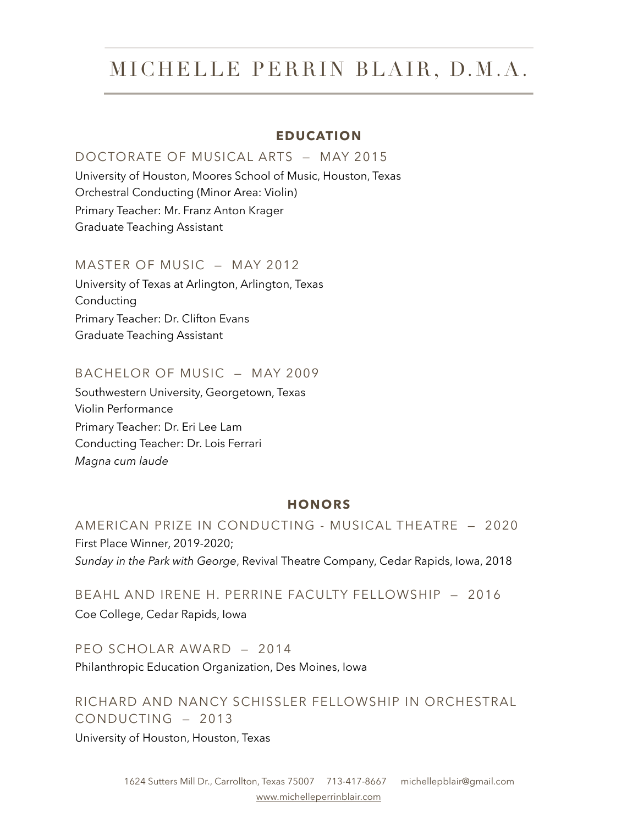#### **EDUCATION**

#### DOCTORATE OF MUSICAL ARTS — MAY 2015

University of Houston, Moores School of Music, Houston, Texas Orchestral Conducting (Minor Area: Violin) Primary Teacher: Mr. Franz Anton Krager Graduate Teaching Assistant

#### MASTER OF MUSIC — MAY 2012

University of Texas at Arlington, Arlington, Texas Conducting Primary Teacher: Dr. Clifton Evans Graduate Teaching Assistant

#### BACHELOR OF MUSIC — MAY 2009

Southwestern University, Georgetown, Texas Violin Performance Primary Teacher: Dr. Eri Lee Lam Conducting Teacher: Dr. Lois Ferrari *Magna cum laude* 

#### **HONORS**

AMERICAN PRIZE IN CONDUCTING - MUSICAL THEATRE — 2020 First Place Winner, 2019-2020; *Sunday in the Park with George*, Revival Theatre Company, Cedar Rapids, Iowa, 2018

BEAHL AND IRENE H. PERRINE FACULTY FELLOWSHIP — 2016 Coe College, Cedar Rapids, Iowa

PEO SCHOLAR AWARD — 2014 Philanthropic Education Organization, Des Moines, Iowa

RICHARD AND NANCY SCHISSLER FELLOWSHIP IN ORCHESTRAL CONDUCTING — 2013

University of Houston, Houston, Texas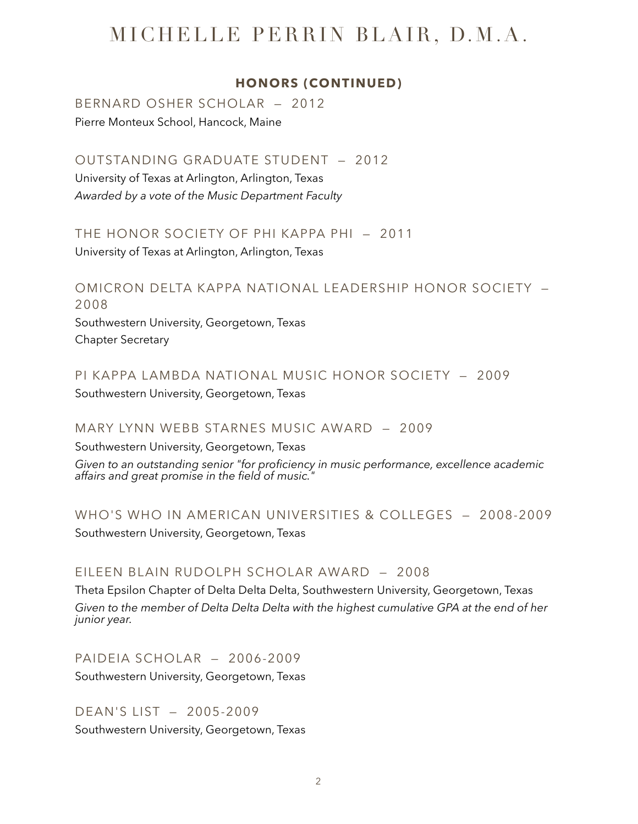#### **HONORS (CONTINUED)**

BERNARD OSHER SCHOLAR — 2012 Pierre Monteux School, Hancock, Maine

OUTSTANDING GRADUATE STUDENT — 2012

University of Texas at Arlington, Arlington, Texas *Awarded by a vote of the Music Department Faculty* 

THE HONOR SOCIETY OF PHI KAPPA PHI — 2011

University of Texas at Arlington, Arlington, Texas

OMICRON DELTA KAPPA NATIONAL LEADERSHIP HONOR SOCIETY — 2008 Southwestern University, Georgetown, Texas

Chapter Secretary

PI KAPPA LAMBDA NATIONAL MUSIC HONOR SOCIETY — 2009 Southwestern University, Georgetown, Texas

MARY LYNN WEBB STARNES MUSIC AWARD — 2009

Southwestern University, Georgetown, Texas

*Given to an outstanding senior "for proficiency in music performance, excellence academic affairs and great promise in the field of music."* 

WHO'S WHO IN AMERICAN UNIVERSITIES & COLLEGES — 2008-2009 Southwestern University, Georgetown, Texas

### EILEEN BLAIN RUDOLPH SCHOLAR AWARD — 2008

Theta Epsilon Chapter of Delta Delta Delta, Southwestern University, Georgetown, Texas *Given to the member of Delta Delta Delta with the highest cumulative GPA at the end of her junior year.* 

PAIDEIA SCHOLAR — 2006-2009

Southwestern University, Georgetown, Texas

DEAN'S LIST — 2005-2009 Southwestern University, Georgetown, Texas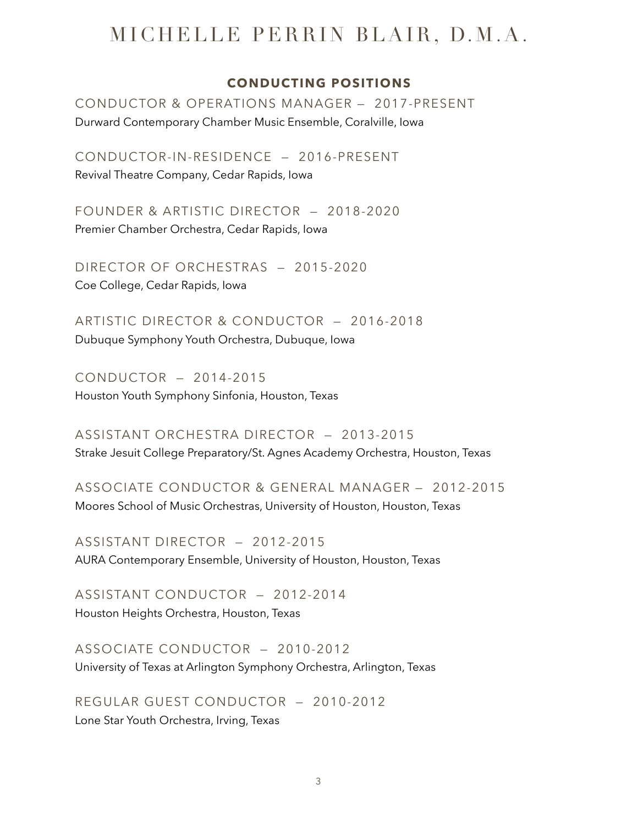#### **CONDUCTING POSITIONS**

CONDUCTOR & OPERATIONS MANAGER — 2017-PRESENT Durward Contemporary Chamber Music Ensemble, Coralville, Iowa

CONDUCTOR-IN-RESIDENCE — 2016-PRESENT Revival Theatre Company, Cedar Rapids, Iowa

FOUNDER & ARTISTIC DIRECTOR — 2018-2020 Premier Chamber Orchestra, Cedar Rapids, Iowa

DIRECTOR OF ORCHESTRAS — 2015-2020 Coe College, Cedar Rapids, Iowa

ARTISTIC DIRECTOR & CONDUCTOR — 2016-2018 Dubuque Symphony Youth Orchestra, Dubuque, Iowa

CONDUCTOR — 2014-2015 Houston Youth Symphony Sinfonia, Houston, Texas

ASSISTANT ORCHESTRA DIRECTOR — 2013-2015 Strake Jesuit College Preparatory/St. Agnes Academy Orchestra, Houston, Texas

ASSOCIATE CONDUCTOR & GENERAL MANAGER — 2012-2015 Moores School of Music Orchestras, University of Houston, Houston, Texas

ASSISTANT DIRECTOR — 2012-2015 AURA Contemporary Ensemble, University of Houston, Houston, Texas

ASSISTANT CONDUCTOR — 2012-2014 Houston Heights Orchestra, Houston, Texas

ASSOCIATE CONDUCTOR — 2010-2012 University of Texas at Arlington Symphony Orchestra, Arlington, Texas

REGULAR GUEST CONDUCTOR — 2010-2012 Lone Star Youth Orchestra, Irving, Texas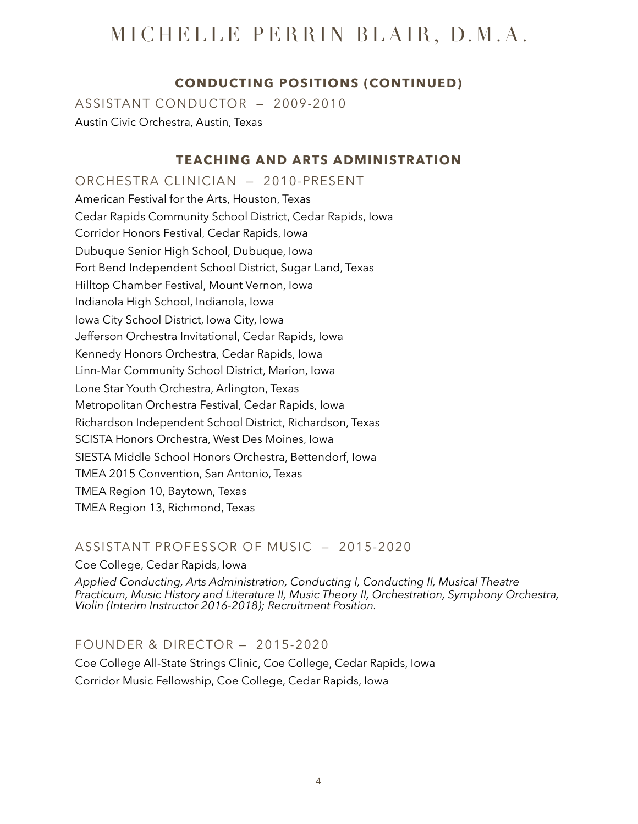### **CONDUCTING POSITIONS (CONTINUED)**

ASSISTANT CONDUCTOR — 2009-2010 Austin Civic Orchestra, Austin, Texas

### **TEACHING AND ARTS ADMINISTRATION**

ORCHESTRA CLINICIAN — 2010-PRESENT American Festival for the Arts, Houston, Texas Cedar Rapids Community School District, Cedar Rapids, Iowa Corridor Honors Festival, Cedar Rapids, Iowa Dubuque Senior High School, Dubuque, Iowa Fort Bend Independent School District, Sugar Land, Texas Hilltop Chamber Festival, Mount Vernon, Iowa Indianola High School, Indianola, Iowa Iowa City School District, Iowa City, Iowa Jefferson Orchestra Invitational, Cedar Rapids, Iowa Kennedy Honors Orchestra, Cedar Rapids, Iowa Linn-Mar Community School District, Marion, Iowa Lone Star Youth Orchestra, Arlington, Texas Metropolitan Orchestra Festival, Cedar Rapids, Iowa Richardson Independent School District, Richardson, Texas SCISTA Honors Orchestra, West Des Moines, Iowa SIESTA Middle School Honors Orchestra, Bettendorf, Iowa TMEA 2015 Convention, San Antonio, Texas TMEA Region 10, Baytown, Texas TMEA Region 13, Richmond, Texas

### ASSISTANT PROFESSOR OF MUSIC — 2015-2020

#### Coe College, Cedar Rapids, Iowa

*Applied Conducting, Arts Administration, Conducting I, Conducting II, Musical Theatre Practicum, Music History and Literature II, Music Theory II, Orchestration, Symphony Orchestra, Violin (Interim Instructor 2016-2018); Recruitment Position.* 

### FOUNDER & DIRECTOR — 2015-2020

Coe College All-State Strings Clinic, Coe College, Cedar Rapids, Iowa Corridor Music Fellowship, Coe College, Cedar Rapids, Iowa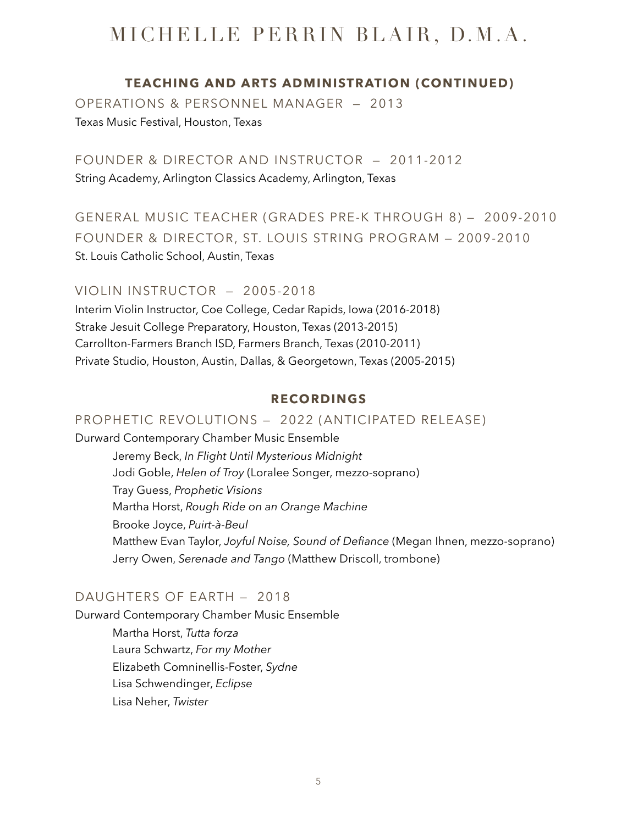#### **TEACHING AND ARTS ADMINISTRATION (CONTINUED)**

OPERATIONS & PERSONNEL MANAGER — 2013 Texas Music Festival, Houston, Texas

FOUNDER & DIRECTOR AND INSTRUCTOR — 2011-2012 String Academy, Arlington Classics Academy, Arlington, Texas

GENERAL MUSIC TEACHER (GRADES PRE-K THROUGH 8) — 2009-2010 FOUNDER & DIRECTOR, ST. LOUIS STRING PROGRAM — 2009-2010 St. Louis Catholic School, Austin, Texas

VIOLIN INSTRUCTOR — 2005-2018 Interim Violin Instructor, Coe College, Cedar Rapids, Iowa (2016-2018)

Strake Jesuit College Preparatory, Houston, Texas (2013-2015) Carrollton-Farmers Branch ISD, Farmers Branch, Texas (2010-2011) Private Studio, Houston, Austin, Dallas, & Georgetown, Texas (2005-2015)

#### **RECORDINGS**

#### PROPHETIC REVOLUTIONS — 2022 (ANTICIPATED RELEASE)

Durward Contemporary Chamber Music Ensemble Jeremy Beck, *In Flight Until Mysterious Midnight* Jodi Goble, *Helen of Troy* (Loralee Songer, mezzo-soprano) Tray Guess, *Prophetic Visions*  Martha Horst, *Rough Ride on an Orange Machine*  Brooke Joyce, *Puirt-à-Beul*  Matthew Evan Taylor, *Joyful Noise, Sound of Defiance* (Megan Ihnen, mezzo-soprano) Jerry Owen, *Serenade and Tango* (Matthew Driscoll, trombone)

#### DAUGHTERS OF EARTH — 2018

Durward Contemporary Chamber Music Ensemble

Martha Horst, *Tutta forza*  Laura Schwartz, *For my Mother*  Elizabeth Comninellis-Foster, *Sydne*  Lisa Schwendinger, *Eclipse*  Lisa Neher, *Twister*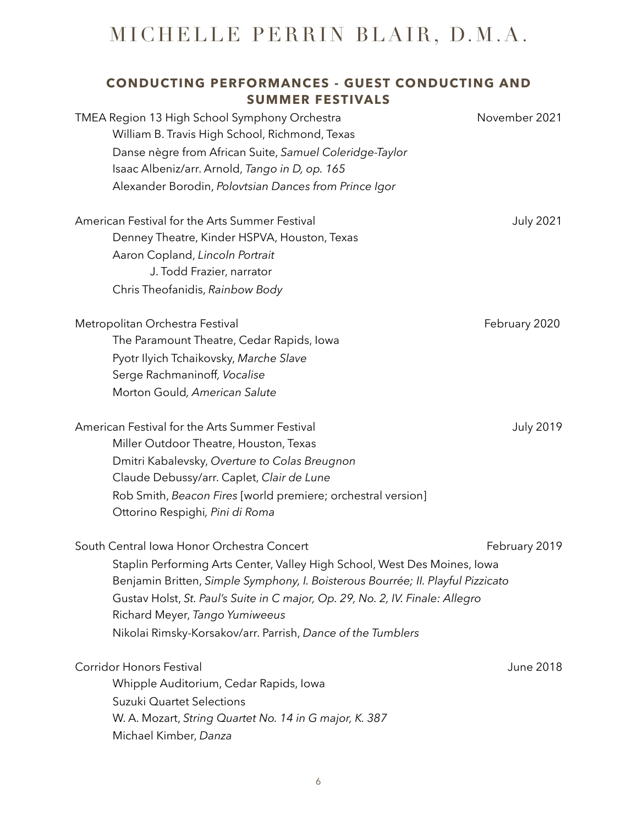### **CONDUCTING PERFORMANCES - GUEST CONDUCTING AND SUMMER FESTIVALS**

| TMEA Region 13 High School Symphony Orchestra<br>William B. Travis High School, Richmond, Texas<br>Danse nègre from African Suite, Samuel Coleridge-Taylor | November 2021    |
|------------------------------------------------------------------------------------------------------------------------------------------------------------|------------------|
| Isaac Albeniz/arr. Arnold, Tango in D, op. 165                                                                                                             |                  |
| Alexander Borodin, Polovtsian Dances from Prince Igor                                                                                                      |                  |
| American Festival for the Arts Summer Festival                                                                                                             | <b>July 2021</b> |
| Denney Theatre, Kinder HSPVA, Houston, Texas                                                                                                               |                  |
| Aaron Copland, Lincoln Portrait                                                                                                                            |                  |
| J. Todd Frazier, narrator                                                                                                                                  |                  |
| Chris Theofanidis, Rainbow Body                                                                                                                            |                  |
| Metropolitan Orchestra Festival                                                                                                                            | February 2020    |
| The Paramount Theatre, Cedar Rapids, Iowa                                                                                                                  |                  |
| Pyotr Ilyich Tchaikovsky, Marche Slave                                                                                                                     |                  |
| Serge Rachmaninoff, Vocalise                                                                                                                               |                  |
| Morton Gould, American Salute                                                                                                                              |                  |
| American Festival for the Arts Summer Festival                                                                                                             | <b>July 2019</b> |
| Miller Outdoor Theatre, Houston, Texas                                                                                                                     |                  |
| Dmitri Kabalevsky, Overture to Colas Breugnon                                                                                                              |                  |
| Claude Debussy/arr. Caplet, Clair de Lune                                                                                                                  |                  |
| Rob Smith, Beacon Fires [world premiere; orchestral version]<br>Ottorino Respighi, Pini di Roma                                                            |                  |
| South Central Iowa Honor Orchestra Concert                                                                                                                 | February 2019    |
| Staplin Performing Arts Center, Valley High School, West Des Moines, Iowa                                                                                  |                  |
| Benjamin Britten, Simple Symphony, I. Boisterous Bourrée; II. Playful Pizzicato                                                                            |                  |
| Gustav Holst, St. Paul's Suite in C major, Op. 29, No. 2, IV. Finale: Allegro                                                                              |                  |
| Richard Meyer, Tango Yumiweeus                                                                                                                             |                  |
| Nikolai Rimsky-Korsakov/arr. Parrish, Dance of the Tumblers                                                                                                |                  |
| Corridor Honors Festival                                                                                                                                   | June 2018        |
| Whipple Auditorium, Cedar Rapids, Iowa                                                                                                                     |                  |
| Suzuki Quartet Selections                                                                                                                                  |                  |
| W. A. Mozart, String Quartet No. 14 in G major, K. 387                                                                                                     |                  |
| Michael Kimber, Danza                                                                                                                                      |                  |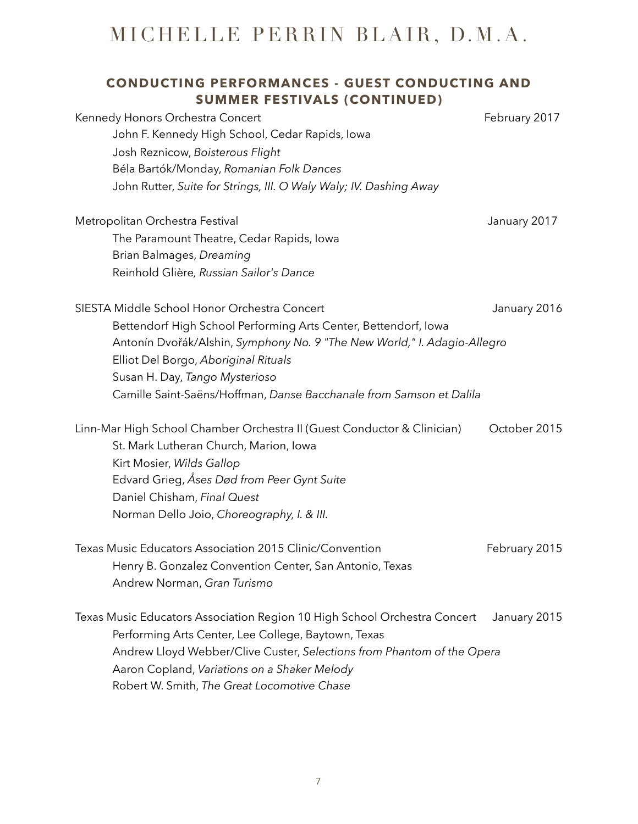### **CONDUCTING PERFORMANCES - GUEST CONDUCTING AND SUMMER FESTIVALS (CONTINUED)**

| Kennedy Honors Orchestra Concert<br>John F. Kennedy High School, Cedar Rapids, Iowa<br>Josh Reznicow, Boisterous Flight<br>Béla Bartók/Monday, Romanian Folk Dances<br>John Rutter, Suite for Strings, III. O Waly Waly; IV. Dashing Away                                                                                                    | February 2017 |
|----------------------------------------------------------------------------------------------------------------------------------------------------------------------------------------------------------------------------------------------------------------------------------------------------------------------------------------------|---------------|
| Metropolitan Orchestra Festival<br>The Paramount Theatre, Cedar Rapids, Iowa<br>Brian Balmages, Dreaming<br>Reinhold Glière, Russian Sailor's Dance                                                                                                                                                                                          | January 2017  |
| SIESTA Middle School Honor Orchestra Concert<br>Bettendorf High School Performing Arts Center, Bettendorf, Iowa<br>Antonín Dvořák/Alshin, Symphony No. 9 "The New World," I. Adagio-Allegro<br>Elliot Del Borgo, Aboriginal Rituals<br>Susan H. Day, Tango Mysterioso<br>Camille Saint-Saëns/Hoffman, Danse Bacchanale from Samson et Dalila | January 2016  |
| Linn-Mar High School Chamber Orchestra II (Guest Conductor & Clinician)<br>St. Mark Lutheran Church, Marion, Iowa<br>Kirt Mosier, Wilds Gallop<br>Edvard Grieg, Åses Død from Peer Gynt Suite<br>Daniel Chisham, Final Quest<br>Norman Dello Joio, Choreography, I. & III.                                                                   | October 2015  |
| Texas Music Educators Association 2015 Clinic/Convention<br>Henry B. Gonzalez Convention Center, San Antonio, Texas<br>Andrew Norman, Gran Turismo                                                                                                                                                                                           | February 2015 |
| Texas Music Educators Association Region 10 High School Orchestra Concert<br>Performing Arts Center, Lee College, Baytown, Texas<br>Andrew Lloyd Webber/Clive Custer, Selections from Phantom of the Opera<br>Aaron Copland, Variations on a Shaker Melody<br>Robert W. Smith, The Great Locomotive Chase                                    | January 2015  |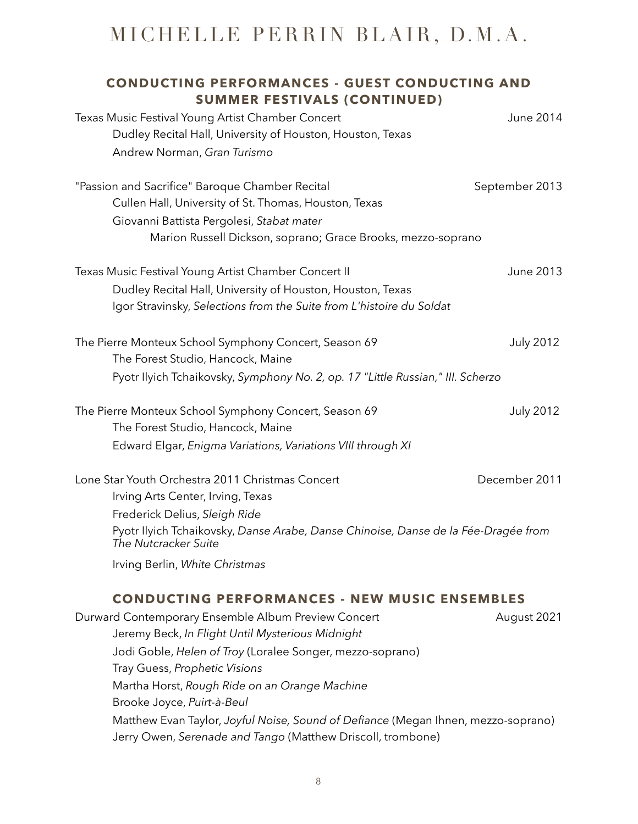### **CONDUCTING PERFORMANCES - GUEST CONDUCTING AND SUMMER FESTIVALS (CONTINUED)** Texas Music Festival Young Artist Chamber Concert Texas Music Festival Young Artist Chamber Concert Dudley Recital Hall, University of Houston, Houston, Texas Andrew Norman, *Gran Turismo*  "Passion and Sacrifice" Baroque Chamber Recital September 2013 Cullen Hall, University of St. Thomas, Houston, Texas Giovanni Battista Pergolesi, *Stabat mater* Marion Russell Dickson, soprano; Grace Brooks, mezzo-soprano Texas Music Festival Young Artist Chamber Concert II Channel Concert II June 2013 Dudley Recital Hall, University of Houston, Houston, Texas Igor Stravinsky, *Selections from the Suite from L'histoire du Soldat*

| The Pierre Monteux School Symphony Concert, Season 69                           | July 2012 |
|---------------------------------------------------------------------------------|-----------|
| The Forest Studio, Hancock, Maine                                               |           |
| Pyotr Ilyich Tchaikovsky, Symphony No. 2, op. 17 "Little Russian," III. Scherzo |           |

| The Pierre Monteux School Symphony Concert, Season 69       | July 2012 |
|-------------------------------------------------------------|-----------|
| The Forest Studio, Hancock, Maine                           |           |
| Edward Elgar, Enigma Variations, Variations VIII through XI |           |

| Lone Star Youth Orchestra 2011 Christmas Concert                                                           | December 2011 |
|------------------------------------------------------------------------------------------------------------|---------------|
| Irving Arts Center, Irving, Texas                                                                          |               |
| Frederick Delius, Sleigh Ride                                                                              |               |
| Pyotr Ilyich Tchaikovsky, Danse Arabe, Danse Chinoise, Danse de la Fée-Dragée from<br>The Nutcracker Suite |               |
| Irving Berlin, White Christmas                                                                             |               |

### **CONDUCTING PERFORMANCES - NEW MUSIC ENSEMBLES**

| Durward Contemporary Ensemble Album Preview Concert                               | August 2021 |
|-----------------------------------------------------------------------------------|-------------|
| Jeremy Beck, In Flight Until Mysterious Midnight                                  |             |
| Jodi Goble, Helen of Troy (Loralee Songer, mezzo-soprano)                         |             |
| Tray Guess, Prophetic Visions                                                     |             |
| Martha Horst, Rough Ride on an Orange Machine                                     |             |
| Brooke Joyce, Puirt-à-Beul                                                        |             |
| Matthew Evan Taylor, Joyful Noise, Sound of Defiance (Megan Ihnen, mezzo-soprano) |             |
| Jerry Owen, Serenade and Tango (Matthew Driscoll, trombone)                       |             |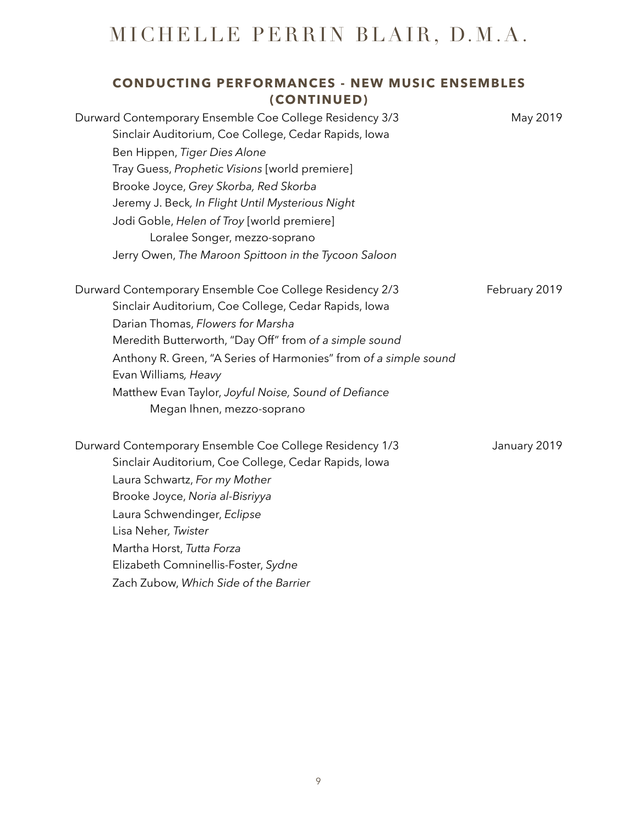### **CONDUCTING PERFORMANCES - NEW MUSIC ENSEMBLES (CONTINUED)**

| Durward Contemporary Ensemble Coe College Residency 3/3<br>Sinclair Auditorium, Coe College, Cedar Rapids, Iowa | May 2019      |
|-----------------------------------------------------------------------------------------------------------------|---------------|
| Ben Hippen, Tiger Dies Alone                                                                                    |               |
| Tray Guess, Prophetic Visions [world premiere]                                                                  |               |
| Brooke Joyce, Grey Skorba, Red Skorba                                                                           |               |
| Jeremy J. Beck, In Flight Until Mysterious Night                                                                |               |
| Jodi Goble, Helen of Troy [world premiere]                                                                      |               |
| Loralee Songer, mezzo-soprano                                                                                   |               |
| Jerry Owen, The Maroon Spittoon in the Tycoon Saloon                                                            |               |
| Durward Contemporary Ensemble Coe College Residency 2/3                                                         | February 2019 |
| Sinclair Auditorium, Coe College, Cedar Rapids, Iowa                                                            |               |
| Darian Thomas, Flowers for Marsha                                                                               |               |
| Meredith Butterworth, "Day Off" from of a simple sound                                                          |               |
| Anthony R. Green, "A Series of Harmonies" from of a simple sound                                                |               |
| Evan Williams, Heavy                                                                                            |               |
| Matthew Evan Taylor, Joyful Noise, Sound of Defiance                                                            |               |
| Megan Ihnen, mezzo-soprano                                                                                      |               |
| Durward Contemporary Ensemble Coe College Residency 1/3                                                         | January 2019  |
| Sinclair Auditorium, Coe College, Cedar Rapids, Iowa                                                            |               |
| Laura Schwartz, For my Mother                                                                                   |               |
| Brooke Joyce, Noria al-Bisriyya                                                                                 |               |

Laura Schwendinger, *Eclipse* 

Elizabeth Comninellis-Foster, *Sydne*  Zach Zubow, *Which Side of the Barrier* 

Martha Horst, *Tutta Forza* 

Lisa Neher*, Twister* 

9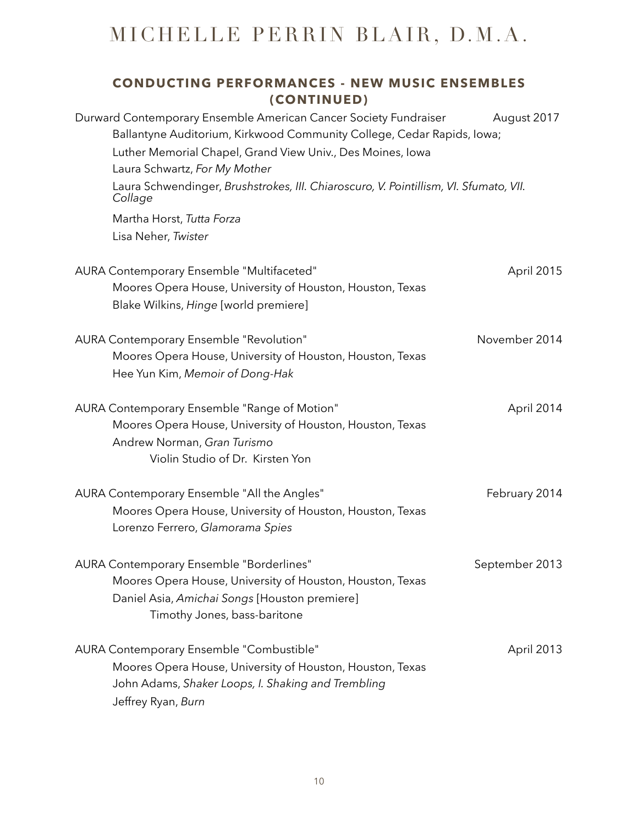### **CONDUCTING PERFORMANCES - NEW MUSIC ENSEMBLES (CONTINUED)**

| Durward Contemporary Ensemble American Cancer Society Fundraiser<br>Ballantyne Auditorium, Kirkwood Community College, Cedar Rapids, Iowa;                                   | August 2017    |
|------------------------------------------------------------------------------------------------------------------------------------------------------------------------------|----------------|
| Luther Memorial Chapel, Grand View Univ., Des Moines, Iowa                                                                                                                   |                |
| Laura Schwartz, For My Mother                                                                                                                                                |                |
| Laura Schwendinger, Brushstrokes, III. Chiaroscuro, V. Pointillism, VI. Sfumato, VII.<br>Collage                                                                             |                |
| Martha Horst, Tutta Forza                                                                                                                                                    |                |
| Lisa Neher, Twister                                                                                                                                                          |                |
| AURA Contemporary Ensemble "Multifaceted"                                                                                                                                    | April 2015     |
| Moores Opera House, University of Houston, Houston, Texas                                                                                                                    |                |
| Blake Wilkins, Hinge [world premiere]                                                                                                                                        |                |
| AURA Contemporary Ensemble "Revolution"                                                                                                                                      | November 2014  |
| Moores Opera House, University of Houston, Houston, Texas                                                                                                                    |                |
| Hee Yun Kim, Memoir of Dong-Hak                                                                                                                                              |                |
| AURA Contemporary Ensemble "Range of Motion"<br>Moores Opera House, University of Houston, Houston, Texas<br>Andrew Norman, Gran Turismo<br>Violin Studio of Dr. Kirsten Yon | April 2014     |
| AURA Contemporary Ensemble "All the Angles"                                                                                                                                  | February 2014  |
| Moores Opera House, University of Houston, Houston, Texas<br>Lorenzo Ferrero, Glamorama Spies                                                                                |                |
| AURA Contemporary Ensemble "Borderlines"                                                                                                                                     | September 2013 |
| Moores Opera House, University of Houston, Houston, Texas                                                                                                                    |                |
| Daniel Asia, Amichai Songs [Houston premiere]<br>Timothy Jones, bass-baritone                                                                                                |                |
| AURA Contemporary Ensemble "Combustible"                                                                                                                                     | April 2013     |
| Moores Opera House, University of Houston, Houston, Texas                                                                                                                    |                |
| John Adams, Shaker Loops, I. Shaking and Trembling                                                                                                                           |                |
| Jeffrey Ryan, Burn                                                                                                                                                           |                |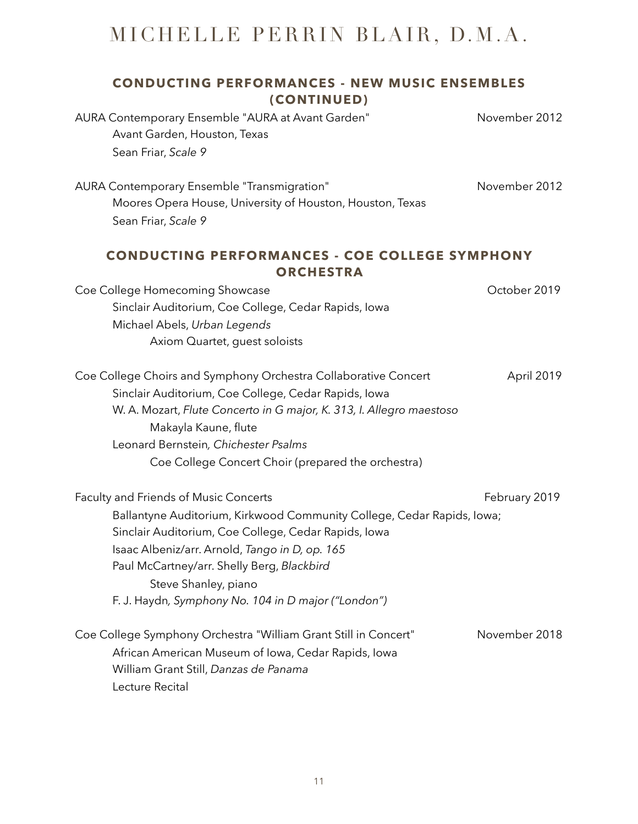### **CONDUCTING PERFORMANCES - NEW MUSIC ENSEMBLES (CONTINUED)**

AURA Contemporary Ensemble "AURA at Avant Garden" November 2012 Avant Garden, Houston, Texas Sean Friar, *Scale 9* AURA Contemporary Ensemble "Transmigration" Movember 2012 Moores Opera House, University of Houston, Houston, Texas Sean Friar, *Scale 9*  **CONDUCTING PERFORMANCES - COE COLLEGE SYMPHONY ORCHESTRA**  Coe College Homecoming Showcase Coe College 2019 Sinclair Auditorium, Coe College, Cedar Rapids, Iowa

Axiom Quartet, guest soloists Coe College Choirs and Symphony Orchestra Collaborative Concert April 2019 Sinclair Auditorium, Coe College, Cedar Rapids, Iowa W. A. Mozart, *Flute Concerto in G major, K. 313, I. Allegro maestoso*  Makayla Kaune, flute Leonard Bernstein*, Chichester Psalms*  Coe College Concert Choir (prepared the orchestra)

Michael Abels, *Urban Legends* 

Faculty and Friends of Music Concerts **February 2019** February 2019 Ballantyne Auditorium, Kirkwood Community College, Cedar Rapids, Iowa; Sinclair Auditorium, Coe College, Cedar Rapids, Iowa Isaac Albeniz/arr. Arnold, *Tango in D, op. 165*  Paul McCartney/arr. Shelly Berg, *Blackbird*  Steve Shanley, piano F. J. Haydn*, Symphony No. 104 in D major ("London")* 

Coe College Symphony Orchestra "William Grant Still in Concert" November 2018 African American Museum of Iowa, Cedar Rapids, Iowa William Grant Still, *Danzas de Panama*  Lecture Recital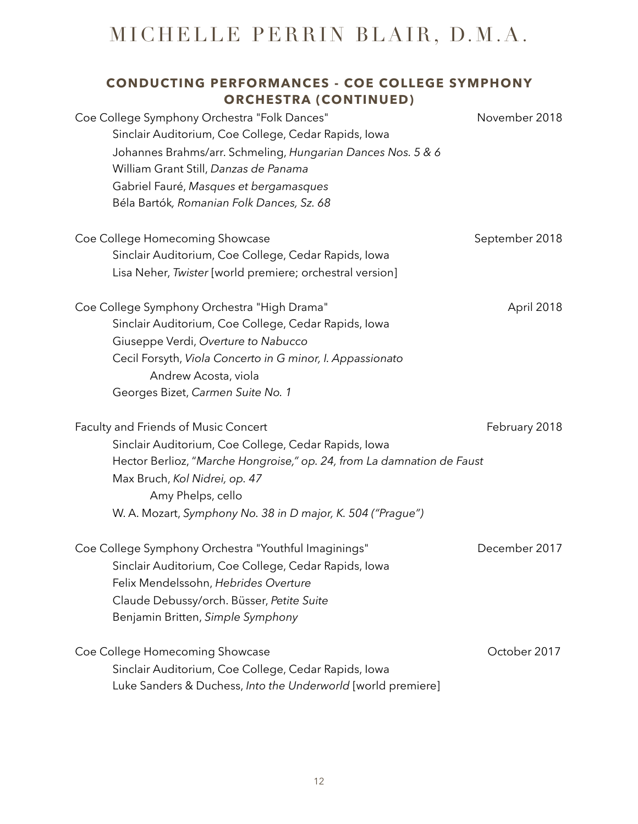### **CONDUCTING PERFORMANCES - COE COLLEGE SYMPHONY ORCHESTRA (CONTINUED)**  Coe College Symphony Orchestra "Folk Dances" November 2018 Sinclair Auditorium, Coe College, Cedar Rapids, Iowa

Johannes Brahms/arr. Schmeling, *Hungarian Dances Nos. 5 & 6*  William Grant Still, *Danzas de Panama*  Gabriel Fauré, *Masques et bergamasques*  Béla Bartók*, Romanian Folk Dances, Sz. 68* 

Coe College Homecoming Showcase New September 2018 Sinclair Auditorium, Coe College, Cedar Rapids, Iowa Lisa Neher, *Twister* [world premiere; orchestral version]

Coe College Symphony Orchestra "High Drama" April 2018 Sinclair Auditorium, Coe College, Cedar Rapids, Iowa Giuseppe Verdi, *Overture to Nabucco*  Cecil Forsyth, *Viola Concerto in G minor, I. Appassionato*  Andrew Acosta, viola Georges Bizet, *Carmen Suite No. 1* 

Faculty and Friends of Music Concert February 2018 Sinclair Auditorium, Coe College, Cedar Rapids, Iowa Hector Berlioz, "*Marche Hongroise," op. 24, from La damnation de Faust*  Max Bruch, *Kol Nidrei, op. 47*  Amy Phelps, cello W. A. Mozart, *Symphony No. 38 in D major, K. 504 ("Prague")*

Coe College Symphony Orchestra "Youthful Imaginings" December 2017 Sinclair Auditorium, Coe College, Cedar Rapids, Iowa Felix Mendelssohn, *Hebrides Overture*  Claude Debussy/orch. Büsser, *Petite Suite*  Benjamin Britten, *Simple Symphony*  Coe College Homecoming Showcase **Community** Coe College Homecoming Showcase

Sinclair Auditorium, Coe College, Cedar Rapids, Iowa Luke Sanders & Duchess, *Into the Underworld* [world premiere]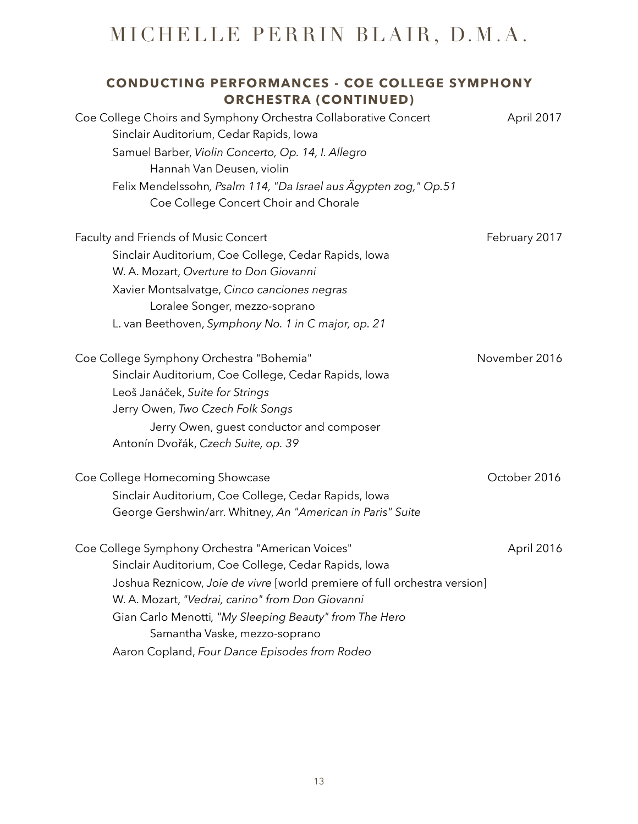| <b>CONDUCTING PERFORMANCES - COE COLLEGE SYMPHONY</b><br><b>ORCHESTRA (CONTINUED)</b>                                                                                                                                                                                                                                                                                                 |               |
|---------------------------------------------------------------------------------------------------------------------------------------------------------------------------------------------------------------------------------------------------------------------------------------------------------------------------------------------------------------------------------------|---------------|
| Coe College Choirs and Symphony Orchestra Collaborative Concert<br>Sinclair Auditorium, Cedar Rapids, Iowa<br>Samuel Barber, Violin Concerto, Op. 14, I. Allegro<br>Hannah Van Deusen, violin                                                                                                                                                                                         | April 2017    |
| Felix Mendelssohn, Psalm 114, "Da Israel aus Ägypten zog," Op.51<br>Coe College Concert Choir and Chorale                                                                                                                                                                                                                                                                             |               |
| Faculty and Friends of Music Concert<br>Sinclair Auditorium, Coe College, Cedar Rapids, Iowa<br>W. A. Mozart, Overture to Don Giovanni<br>Xavier Montsalvatge, Cinco canciones negras<br>Loralee Songer, mezzo-soprano<br>L. van Beethoven, Symphony No. 1 in C major, op. 21                                                                                                         | February 2017 |
| Coe College Symphony Orchestra "Bohemia"<br>Sinclair Auditorium, Coe College, Cedar Rapids, Iowa<br>Leoš Janáček, Suite for Strings<br>Jerry Owen, Two Czech Folk Songs<br>Jerry Owen, guest conductor and composer<br>Antonín Dvořák, Czech Suite, op. 39                                                                                                                            | November 2016 |
| Coe College Homecoming Showcase<br>Sinclair Auditorium, Coe College, Cedar Rapids, Iowa<br>George Gershwin/arr. Whitney, An "American in Paris" Suite                                                                                                                                                                                                                                 | October 2016  |
| Coe College Symphony Orchestra "American Voices"<br>Sinclair Auditorium, Coe College, Cedar Rapids, Iowa<br>Joshua Reznicow, Joie de vivre [world premiere of full orchestra version]<br>W. A. Mozart, "Vedrai, carino" from Don Giovanni<br>Gian Carlo Menotti, "My Sleeping Beauty" from The Hero<br>Samantha Vaske, mezzo-soprano<br>Aaron Copland, Four Dance Episodes from Rodeo | April 2016    |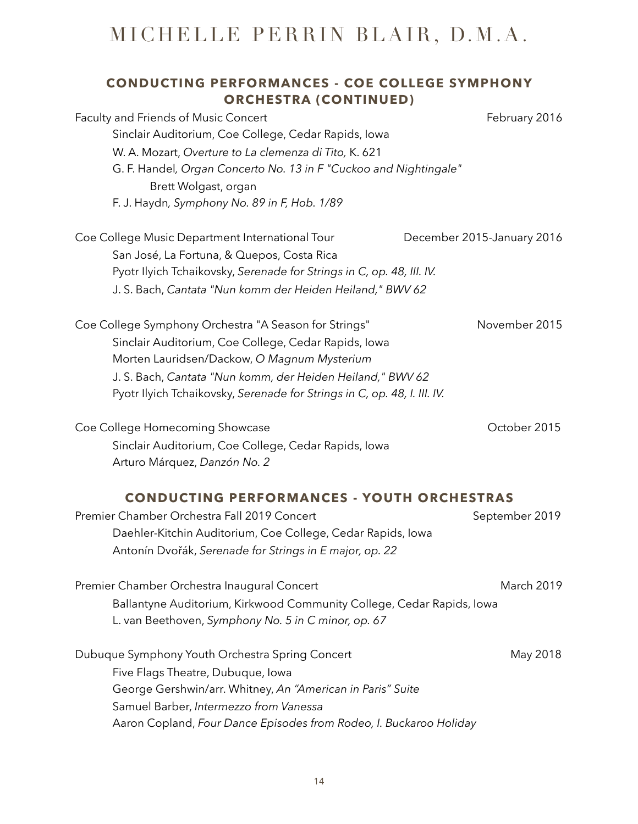### **CONDUCTING PERFORMANCES - COE COLLEGE SYMPHONY ORCHESTRA (CONTINUED)**

| Faculty and Friends of Music Concert<br>Sinclair Auditorium, Coe College, Cedar Rapids, Iowa<br>W. A. Mozart, Overture to La clemenza di Tito, K. 621<br>G. F. Handel, Organ Concerto No. 13 in F "Cuckoo and Nightingale"<br>Brett Wolgast, organ<br>F. J. Haydn, Symphony No. 89 in F, Hob. 1/89     | February 2016              |
|--------------------------------------------------------------------------------------------------------------------------------------------------------------------------------------------------------------------------------------------------------------------------------------------------------|----------------------------|
| Coe College Music Department International Tour<br>San José, La Fortuna, & Quepos, Costa Rica<br>Pyotr Ilyich Tchaikovsky, Serenade for Strings in C, op. 48, III. IV.<br>J. S. Bach, Cantata "Nun komm der Heiden Heiland," BWV 62                                                                    | December 2015-January 2016 |
| Coe College Symphony Orchestra "A Season for Strings"<br>Sinclair Auditorium, Coe College, Cedar Rapids, Iowa<br>Morten Lauridsen/Dackow, O Magnum Mysterium<br>J. S. Bach, Cantata "Nun komm, der Heiden Heiland," BWV 62<br>Pyotr Ilyich Tchaikovsky, Serenade for Strings in C, op. 48, I. III. IV. | November 2015              |
| Coe College Homecoming Showcase<br>Sinclair Auditorium, Coe College, Cedar Rapids, Iowa<br>Arturo Márquez, Danzón No. 2                                                                                                                                                                                | October 2015               |
| <b>CONDUCTING PERFORMANCES - YOUTH ORCHESTRAS</b><br>Premier Chamber Orchestra Fall 2019 Concert<br>Daehler-Kitchin Auditorium, Coe College, Cedar Rapids, Iowa<br>Antonín Dvořák, Serenade for Strings in E major, op. 22                                                                             | September 2019             |

Premier Chamber Orchestra Inaugural Concert **March 2019** March 2019 Ballantyne Auditorium, Kirkwood Community College, Cedar Rapids, Iowa L. van Beethoven, *Symphony No. 5 in C minor, op. 67* 

| Dubuque Symphony Youth Orchestra Spring Concert                    | May 2018 |
|--------------------------------------------------------------------|----------|
| Five Flags Theatre, Dubuque, Iowa                                  |          |
| George Gershwin/arr. Whitney, An "American in Paris" Suite         |          |
| Samuel Barber, Intermezzo from Vanessa                             |          |
| Aaron Copland, Four Dance Episodes from Rodeo, I. Buckaroo Holiday |          |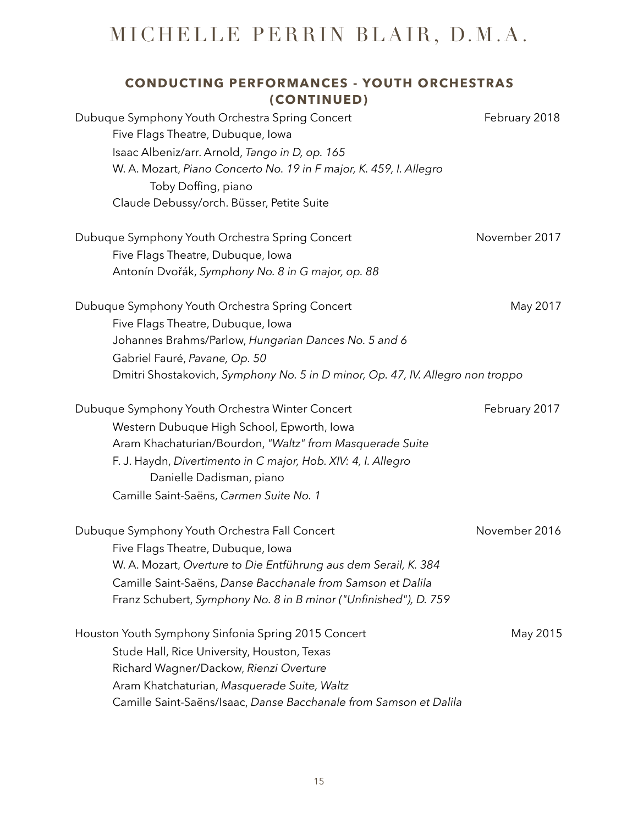| <b>CONDUCTING PERFORMANCES - YOUTH ORCHESTRAS</b>                                         |               |
|-------------------------------------------------------------------------------------------|---------------|
| (CONTINUED)                                                                               |               |
| Dubuque Symphony Youth Orchestra Spring Concert                                           | February 2018 |
| Five Flags Theatre, Dubuque, Iowa                                                         |               |
| Isaac Albeniz/arr. Arnold, Tango in D, op. 165                                            |               |
| W. A. Mozart, Piano Concerto No. 19 in F major, K. 459, I. Allegro                        |               |
| Toby Doffing, piano                                                                       |               |
| Claude Debussy/orch. Büsser, Petite Suite                                                 |               |
| Dubuque Symphony Youth Orchestra Spring Concert                                           | November 2017 |
| Five Flags Theatre, Dubuque, Iowa                                                         |               |
| Antonín Dvořák, Symphony No. 8 in G major, op. 88                                         |               |
| Dubuque Symphony Youth Orchestra Spring Concert                                           | May 2017      |
| Five Flags Theatre, Dubuque, Iowa                                                         |               |
| Johannes Brahms/Parlow, Hungarian Dances No. 5 and 6                                      |               |
| Gabriel Fauré, Pavane, Op. 50                                                             |               |
| Dmitri Shostakovich, Symphony No. 5 in D minor, Op. 47, IV. Allegro non troppo            |               |
| Dubuque Symphony Youth Orchestra Winter Concert                                           | February 2017 |
| Western Dubuque High School, Epworth, Iowa                                                |               |
| Aram Khachaturian/Bourdon, "Waltz" from Masquerade Suite                                  |               |
| F. J. Haydn, Divertimento in C major, Hob. XIV: 4, I. Allegro<br>Danielle Dadisman, piano |               |
| Camille Saint-Saëns, Carmen Suite No. 1                                                   |               |
|                                                                                           |               |
| Dubuque Symphony Youth Orchestra Fall Concert                                             | November 2016 |
| Five Flags Theatre, Dubuque, Iowa                                                         |               |
| W. A. Mozart, Overture to Die Entführung aus dem Serail, K. 384                           |               |
| Camille Saint-Saëns, Danse Bacchanale from Samson et Dalila                               |               |
| Franz Schubert, Symphony No. 8 in B minor ("Unfinished"), D. 759                          |               |
| Houston Youth Symphony Sinfonia Spring 2015 Concert                                       | May 2015      |
| Stude Hall, Rice University, Houston, Texas                                               |               |
| Richard Wagner/Dackow, Rienzi Overture                                                    |               |
| Aram Khatchaturian, Masquerade Suite, Waltz                                               |               |
| Camille Saint-Saëns/Isaac, Danse Bacchanale from Samson et Dalila                         |               |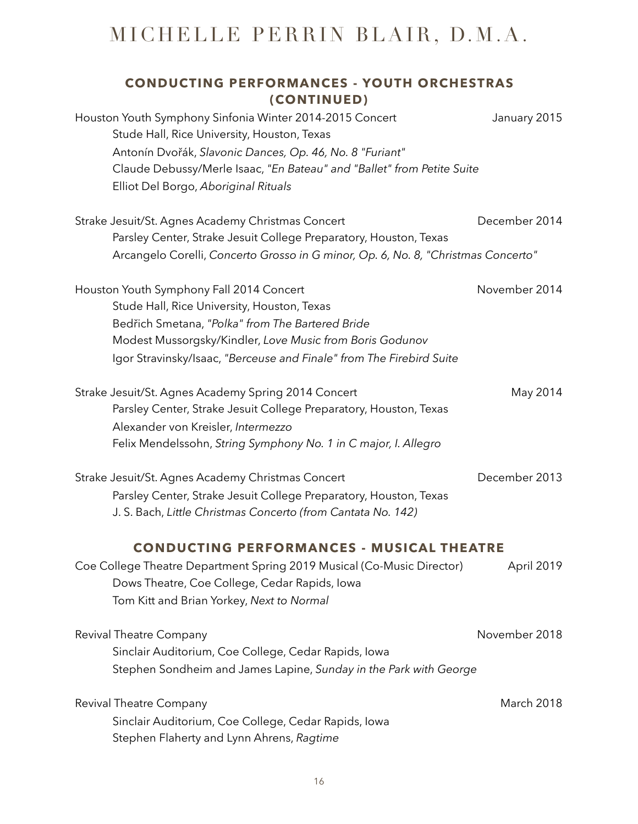| <b>CONDUCTING PERFORMANCES - YOUTH ORCHESTRAS</b><br>(CONTINUED)                                                                                                                                                                                                                      |                   |
|---------------------------------------------------------------------------------------------------------------------------------------------------------------------------------------------------------------------------------------------------------------------------------------|-------------------|
| Houston Youth Symphony Sinfonia Winter 2014-2015 Concert<br>Stude Hall, Rice University, Houston, Texas<br>Antonín Dvořák, Slavonic Dances, Op. 46, No. 8 "Furiant"<br>Claude Debussy/Merle Isaac, "En Bateau" and "Ballet" from Petite Suite<br>Elliot Del Borgo, Aboriginal Rituals | January 2015      |
| Strake Jesuit/St. Agnes Academy Christmas Concert<br>Parsley Center, Strake Jesuit College Preparatory, Houston, Texas<br>Arcangelo Corelli, Concerto Grosso in G minor, Op. 6, No. 8, "Christmas Concerto"                                                                           | December 2014     |
| Houston Youth Symphony Fall 2014 Concert<br>Stude Hall, Rice University, Houston, Texas<br>Bedřich Smetana, "Polka" from The Bartered Bride<br>Modest Mussorgsky/Kindler, Love Music from Boris Godunov<br>Igor Stravinsky/Isaac, "Berceuse and Finale" from The Firebird Suite       | November 2014     |
| Strake Jesuit/St. Agnes Academy Spring 2014 Concert<br>Parsley Center, Strake Jesuit College Preparatory, Houston, Texas<br>Alexander von Kreisler, Intermezzo<br>Felix Mendelssohn, String Symphony No. 1 in C major, I. Allegro                                                     | May 2014          |
| Strake Jesuit/St. Agnes Academy Christmas Concert<br>Parsley Center, Strake Jesuit College Preparatory, Houston, Texas<br>J. S. Bach, Little Christmas Concerto (from Cantata No. 142)                                                                                                | December 2013     |
| <b>CONDUCTING PERFORMANCES - MUSICAL THEATRE</b><br>Coe College Theatre Department Spring 2019 Musical (Co-Music Director)<br>Dows Theatre, Coe College, Cedar Rapids, Iowa<br>Tom Kitt and Brian Yorkey, Next to Normal                                                              | April 2019        |
| Revival Theatre Company<br>Sinclair Auditorium, Coe College, Cedar Rapids, Iowa<br>Stephen Sondheim and James Lapine, Sunday in the Park with George                                                                                                                                  | November 2018     |
| Revival Theatre Company<br>Sinclair Auditorium, Coe College, Cedar Rapids, Iowa<br>Stephen Flaherty and Lynn Ahrens, Ragtime                                                                                                                                                          | <b>March 2018</b> |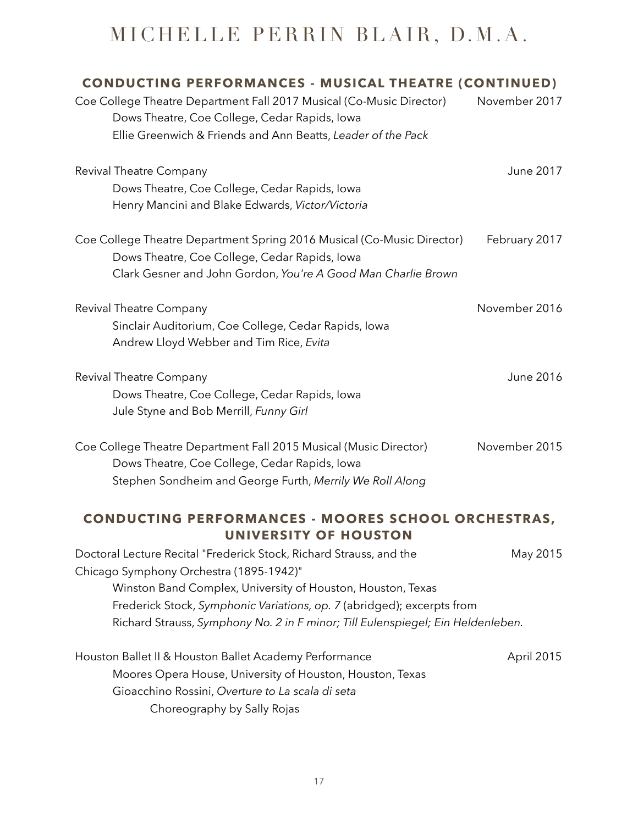| CONDUCTING PERFORMANCES - MUSICAL THEATRE (CONTINUED)<br>Coe College Theatre Department Fall 2017 Musical (Co-Music Director)<br>Dows Theatre, Coe College, Cedar Rapids, Iowa<br>Ellie Greenwich & Friends and Ann Beatts, Leader of the Pack                                                                                             | November 2017 |
|--------------------------------------------------------------------------------------------------------------------------------------------------------------------------------------------------------------------------------------------------------------------------------------------------------------------------------------------|---------------|
| Revival Theatre Company<br>Dows Theatre, Coe College, Cedar Rapids, Iowa<br>Henry Mancini and Blake Edwards, Victor/Victoria                                                                                                                                                                                                               | June 2017     |
| Coe College Theatre Department Spring 2016 Musical (Co-Music Director)<br>Dows Theatre, Coe College, Cedar Rapids, Iowa<br>Clark Gesner and John Gordon, You're A Good Man Charlie Brown                                                                                                                                                   | February 2017 |
| Revival Theatre Company<br>Sinclair Auditorium, Coe College, Cedar Rapids, Iowa<br>Andrew Lloyd Webber and Tim Rice, Evita                                                                                                                                                                                                                 | November 2016 |
| Revival Theatre Company<br>Dows Theatre, Coe College, Cedar Rapids, Iowa<br>Jule Styne and Bob Merrill, Funny Girl                                                                                                                                                                                                                         | June 2016     |
| Coe College Theatre Department Fall 2015 Musical (Music Director)<br>Dows Theatre, Coe College, Cedar Rapids, Iowa<br>Stephen Sondheim and George Furth, Merrily We Roll Along                                                                                                                                                             | November 2015 |
| <b>CONDUCTING PERFORMANCES - MOORES SCHOOL ORCHESTRAS,</b><br>UNIVERSITY OF HOUSTON                                                                                                                                                                                                                                                        |               |
| Doctoral Lecture Recital "Frederick Stock, Richard Strauss, and the<br>Chicago Symphony Orchestra (1895-1942)"<br>Winston Band Complex, University of Houston, Houston, Texas<br>Frederick Stock, Symphonic Variations, op. 7 (abridged); excerpts from<br>Richard Strauss, Symphony No. 2 in F minor; Till Eulenspiegel; Ein Heldenleben. | May 2015      |
| Houston Ballet II & Houston Ballet Academy Performance<br>Moores Opera House, University of Houston, Houston, Texas<br>Gioacchino Rossini, Overture to La scala di seta                                                                                                                                                                    | April 2015    |

Choreography by Sally Rojas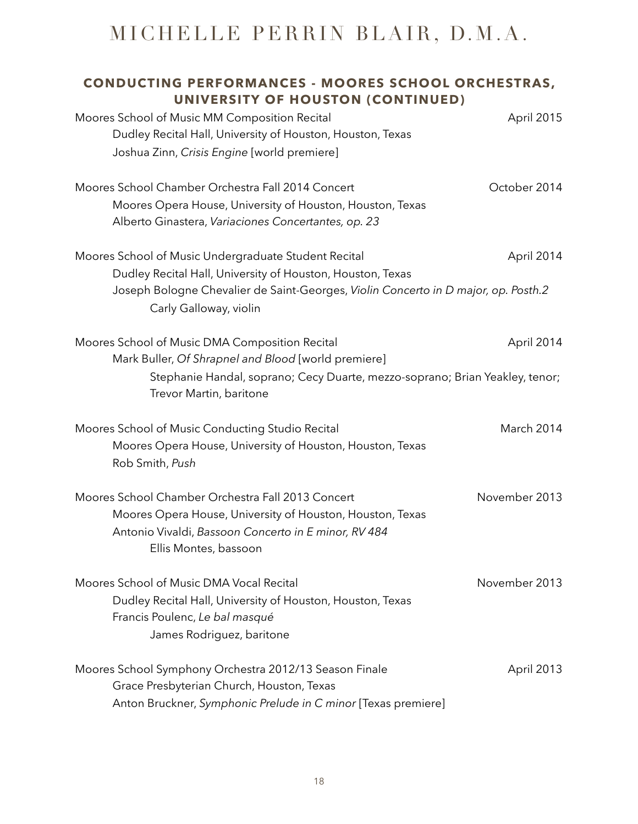| <b>CONDUCTING PERFORMANCES - MOORES SCHOOL ORCHESTRAS,</b><br>UNIVERSITY OF HOUSTON (CONTINUED)                                                                                                                  |               |
|------------------------------------------------------------------------------------------------------------------------------------------------------------------------------------------------------------------|---------------|
| Moores School of Music MM Composition Recital<br>Dudley Recital Hall, University of Houston, Houston, Texas<br>Joshua Zinn, Crisis Engine [world premiere]                                                       | April 2015    |
| Moores School Chamber Orchestra Fall 2014 Concert<br>Moores Opera House, University of Houston, Houston, Texas<br>Alberto Ginastera, Variaciones Concertantes, op. 23                                            | October 2014  |
| Moores School of Music Undergraduate Student Recital<br>Dudley Recital Hall, University of Houston, Houston, Texas<br>Joseph Bologne Chevalier de Saint-Georges, Violin Concerto in D major, op. Posth.2         | April 2014    |
| Carly Galloway, violin                                                                                                                                                                                           |               |
| Moores School of Music DMA Composition Recital<br>Mark Buller, Of Shrapnel and Blood [world premiere]<br>Stephanie Handal, soprano; Cecy Duarte, mezzo-soprano; Brian Yeakley, tenor;<br>Trevor Martin, baritone | April 2014    |
| Moores School of Music Conducting Studio Recital<br>Moores Opera House, University of Houston, Houston, Texas<br>Rob Smith, Push                                                                                 | March 2014    |
| Moores School Chamber Orchestra Fall 2013 Concert<br>Moores Opera House, University of Houston, Houston, Texas<br>Antonio Vivaldi, Bassoon Concerto in E minor, RV 484<br>Ellis Montes, bassoon                  | November 2013 |
| Moores School of Music DMA Vocal Recital<br>Dudley Recital Hall, University of Houston, Houston, Texas<br>Francis Poulenc, Le bal masqué<br>James Rodriguez, baritone                                            | November 2013 |
| Moores School Symphony Orchestra 2012/13 Season Finale<br>Grace Presbyterian Church, Houston, Texas<br>Anton Bruckner, Symphonic Prelude in C minor [Texas premiere]                                             | April 2013    |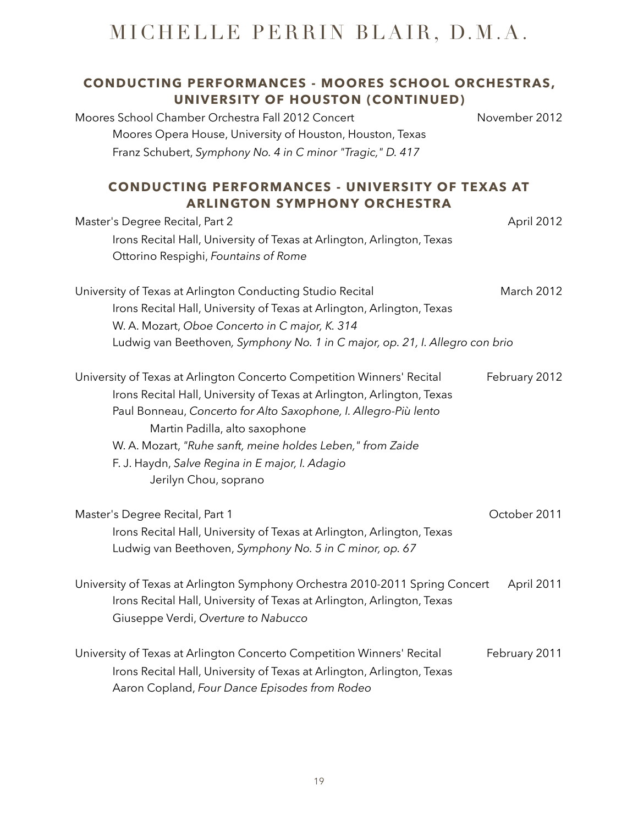### **CONDUCTING PERFORMANCES - MOORES SCHOOL ORCHESTRAS, UNIVERSITY OF HOUSTON (CONTINUED)**  Moores School Chamber Orchestra Fall 2012 Concert November 2012 Moores Opera House, University of Houston, Houston, Texas Franz Schubert, *Symphony No. 4 in C minor "Tragic," D. 417*  **CONDUCTING PERFORMANCES - UNIVERSITY OF TEXAS AT ARLINGTON SYMPHONY ORCHESTRA**  Master's Degree Recital, Part 2 April 2012 Irons Recital Hall, University of Texas at Arlington, Arlington, Texas Ottorino Respighi, *Fountains of Rome* University of Texas at Arlington Conducting Studio Recital March 2012 Irons Recital Hall, University of Texas at Arlington, Arlington, Texas W. A. Mozart, *Oboe Concerto in C major, K. 314*  Ludwig van Beethoven*, Symphony No. 1 in C major, op. 21, I. Allegro con brio*  University of Texas at Arlington Concerto Competition Winners' Recital February 2012 Irons Recital Hall, University of Texas at Arlington, Arlington, Texas Paul Bonneau, *Concerto for Alto Saxophone, I. Allegro-Più lento* Martin Padilla, alto saxophone W. A. Mozart, *"Ruhe sanft, meine holdes Leben," from Zaide* F. J. Haydn, *Salve Regina in E major, I. Adagio* Jerilyn Chou, soprano Master's Degree Recital, Part 1 and 2011 and 2011 Irons Recital Hall, University of Texas at Arlington, Arlington, Texas Ludwig van Beethoven, *Symphony No. 5 in C minor, op. 67* University of Texas at Arlington Symphony Orchestra 2010-2011 Spring Concert April 2011 Irons Recital Hall, University of Texas at Arlington, Arlington, Texas Giuseppe Verdi, *Overture to Nabucco* University of Texas at Arlington Concerto Competition Winners' Recital February 2011

Irons Recital Hall, University of Texas at Arlington, Arlington, Texas

Aaron Copland, *Four Dance Episodes from Rodeo*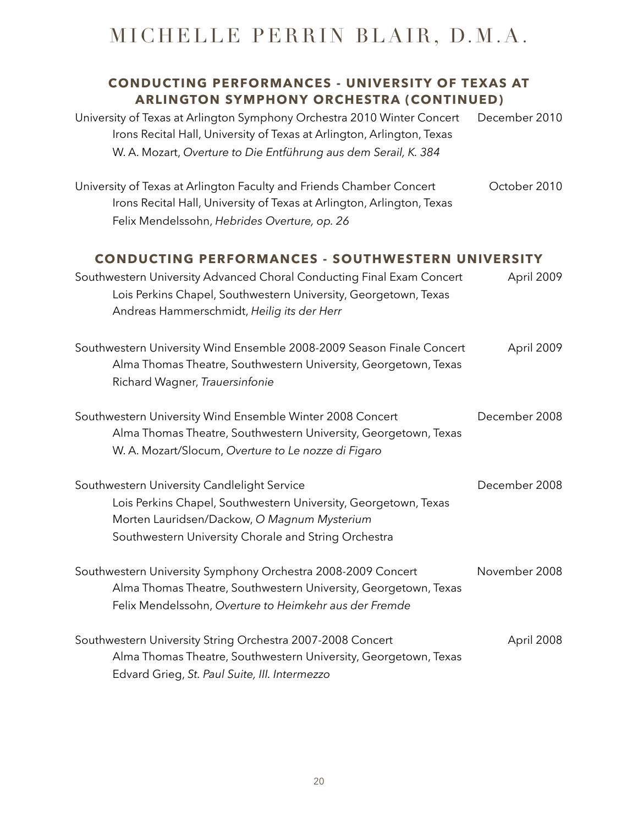### **CONDUCTING PERFORMANCES - UNIVERSITY OF TEXAS AT ARLINGTON SYMPHONY ORCHESTRA (CONTINUED)**

| University of Texas at Arlington Symphony Orchestra 2010 Winter Concert<br>Irons Recital Hall, University of Texas at Arlington, Arlington, Texas<br>W. A. Mozart, Overture to Die Entführung aus dem Serail, K. 384  | December 2010 |
|-----------------------------------------------------------------------------------------------------------------------------------------------------------------------------------------------------------------------|---------------|
| University of Texas at Arlington Faculty and Friends Chamber Concert<br>Irons Recital Hall, University of Texas at Arlington, Arlington, Texas<br>Felix Mendelssohn, Hebrides Overture, op. 26                        | October 2010  |
| <b>CONDUCTING PERFORMANCES - SOUTHWESTERN UNIVERSITY</b>                                                                                                                                                              |               |
| Southwestern University Advanced Choral Conducting Final Exam Concert<br>Lois Perkins Chapel, Southwestern University, Georgetown, Texas<br>Andreas Hammerschmidt, Heilig its der Herr                                | April 2009    |
| Southwestern University Wind Ensemble 2008-2009 Season Finale Concert<br>Alma Thomas Theatre, Southwestern University, Georgetown, Texas<br>Richard Wagner, Trauersinfonie                                            | April 2009    |
| Southwestern University Wind Ensemble Winter 2008 Concert<br>Alma Thomas Theatre, Southwestern University, Georgetown, Texas<br>W. A. Mozart/Slocum, Overture to Le nozze di Figaro                                   | December 2008 |
| Southwestern University Candlelight Service<br>Lois Perkins Chapel, Southwestern University, Georgetown, Texas<br>Morten Lauridsen/Dackow, O Magnum Mysterium<br>Southwestern University Chorale and String Orchestra | December 2008 |
| Southwestern University Symphony Orchestra 2008-2009 Concert<br>Alma Thomas Theatre, Southwestern University, Georgetown, Texas<br>Felix Mendelssohn, Overture to Heimkehr aus der Fremde                             | November 2008 |
| Southwestern University String Orchestra 2007-2008 Concert<br>Alma Thomas Theatre, Southwestern University, Georgetown, Texas<br>Edvard Grieg, St. Paul Suite, III. Intermezzo                                        | April 2008    |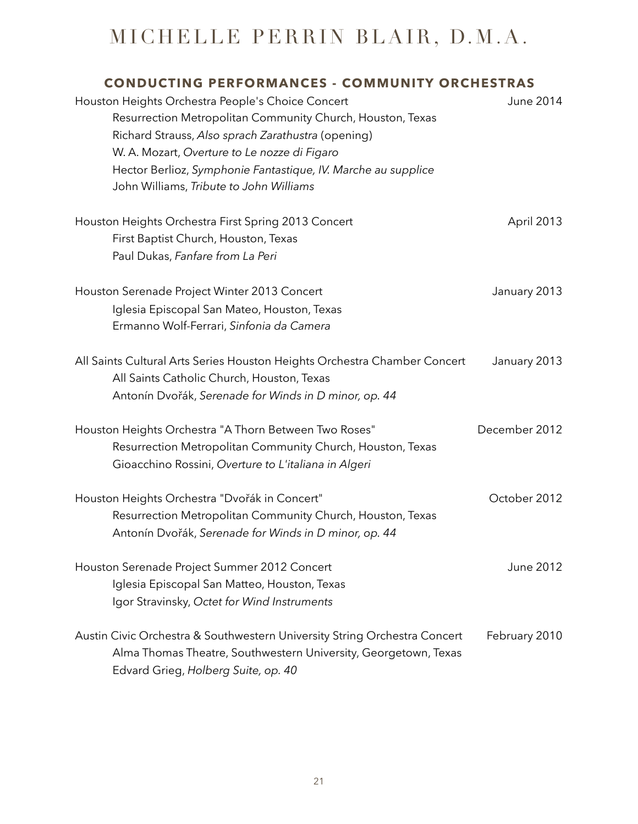| <b>CONDUCTING PERFORMANCES - COMMUNITY ORCHESTRAS</b>                                                                                                                                                                                                                                                                             |               |
|-----------------------------------------------------------------------------------------------------------------------------------------------------------------------------------------------------------------------------------------------------------------------------------------------------------------------------------|---------------|
| Houston Heights Orchestra People's Choice Concert<br>Resurrection Metropolitan Community Church, Houston, Texas<br>Richard Strauss, Also sprach Zarathustra (opening)<br>W. A. Mozart, Overture to Le nozze di Figaro<br>Hector Berlioz, Symphonie Fantastique, IV. Marche au supplice<br>John Williams, Tribute to John Williams | June 2014     |
| Houston Heights Orchestra First Spring 2013 Concert<br>First Baptist Church, Houston, Texas<br>Paul Dukas, Fanfare from La Peri                                                                                                                                                                                                   | April 2013    |
| Houston Serenade Project Winter 2013 Concert<br>Iglesia Episcopal San Mateo, Houston, Texas<br>Ermanno Wolf-Ferrari, Sinfonia da Camera                                                                                                                                                                                           | January 2013  |
| All Saints Cultural Arts Series Houston Heights Orchestra Chamber Concert<br>All Saints Catholic Church, Houston, Texas<br>Antonín Dvořák, Serenade for Winds in D minor, op. 44                                                                                                                                                  | January 2013  |
| Houston Heights Orchestra "A Thorn Between Two Roses"<br>Resurrection Metropolitan Community Church, Houston, Texas<br>Gioacchino Rossini, Overture to L'italiana in Algeri                                                                                                                                                       | December 2012 |
| Houston Heights Orchestra "Dvořák in Concert"<br>Resurrection Metropolitan Community Church, Houston, Texas<br>Antonín Dvořák, Serenade for Winds in D minor, op. 44                                                                                                                                                              | October 2012  |
| Houston Serenade Project Summer 2012 Concert<br>Iglesia Episcopal San Matteo, Houston, Texas<br>Igor Stravinsky, Octet for Wind Instruments                                                                                                                                                                                       | June 2012     |
| Austin Civic Orchestra & Southwestern University String Orchestra Concert<br>Alma Thomas Theatre, Southwestern University, Georgetown, Texas<br>Edvard Grieg, Holberg Suite, op. 40                                                                                                                                               | February 2010 |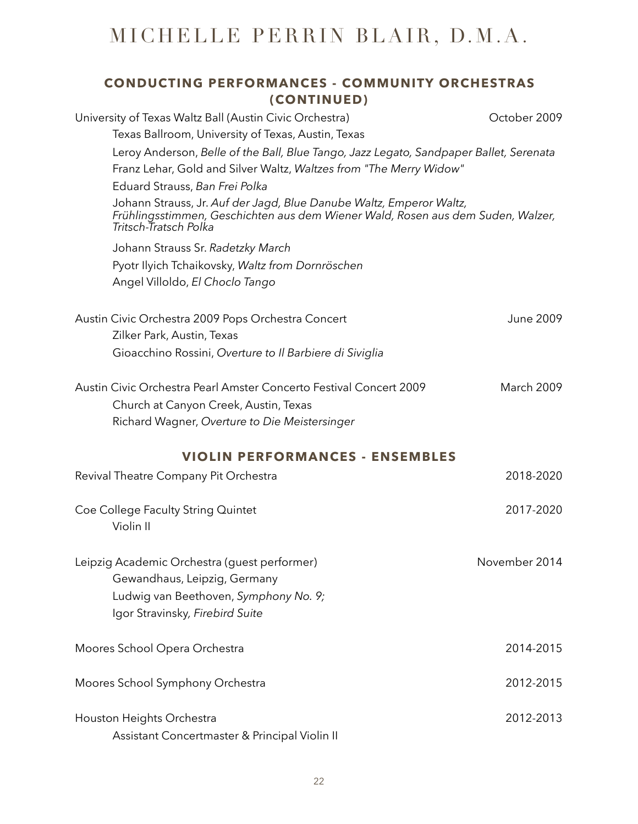### **CONDUCTING PERFORMANCES - COMMUNITY ORCHESTRAS (CONTINUED)**

| University of Texas Waltz Ball (Austin Civic Orchestra)                                                                                                                         | October 2009      |
|---------------------------------------------------------------------------------------------------------------------------------------------------------------------------------|-------------------|
| Texas Ballroom, University of Texas, Austin, Texas                                                                                                                              |                   |
| Leroy Anderson, Belle of the Ball, Blue Tango, Jazz Legato, Sandpaper Ballet, Serenata                                                                                          |                   |
| Franz Lehar, Gold and Silver Waltz, Waltzes from "The Merry Widow"                                                                                                              |                   |
| Eduard Strauss, Ban Frei Polka                                                                                                                                                  |                   |
| Johann Strauss, Jr. Auf der Jagd, Blue Danube Waltz, Emperor Waltz,<br>Frühlingsstimmen, Geschichten aus dem Wiener Wald, Rosen aus dem Suden, Walzer,<br>Tritsch-Tratsch Polka |                   |
| Johann Strauss Sr. Radetzky March                                                                                                                                               |                   |
| Pyotr Ilyich Tchaikovsky, Waltz from Dornröschen                                                                                                                                |                   |
| Angel Villoldo, El Choclo Tango                                                                                                                                                 |                   |
| Austin Civic Orchestra 2009 Pops Orchestra Concert                                                                                                                              | June 2009         |
| Zilker Park, Austin, Texas                                                                                                                                                      |                   |
| Gioacchino Rossini, Overture to Il Barbiere di Siviglia                                                                                                                         |                   |
| Austin Civic Orchestra Pearl Amster Concerto Festival Concert 2009                                                                                                              | <b>March 2009</b> |
| Church at Canyon Creek, Austin, Texas                                                                                                                                           |                   |
| Richard Wagner, Overture to Die Meistersinger                                                                                                                                   |                   |
| <b>VIOLIN PERFORMANCES - ENSEMBLES</b>                                                                                                                                          |                   |
| Revival Theatre Company Pit Orchestra                                                                                                                                           | 2018-2020         |
| Coe College Faculty String Quintet<br>Violin II                                                                                                                                 | 2017-2020         |
| Leipzig Academic Orchestra (quest performer)<br>Gewandhaus, Leipzig, Germany                                                                                                    | November 2014     |
| Ludwig van Beethoven, Symphony No. 9;                                                                                                                                           |                   |
| Igor Stravinsky, Firebird Suite                                                                                                                                                 |                   |
| Moores School Opera Orchestra                                                                                                                                                   | 2014-2015         |
| Moores School Symphony Orchestra                                                                                                                                                | 2012-2015         |
| Houston Heights Orchestra                                                                                                                                                       | 2012-2013         |
| Assistant Concertmaster & Principal Violin II                                                                                                                                   |                   |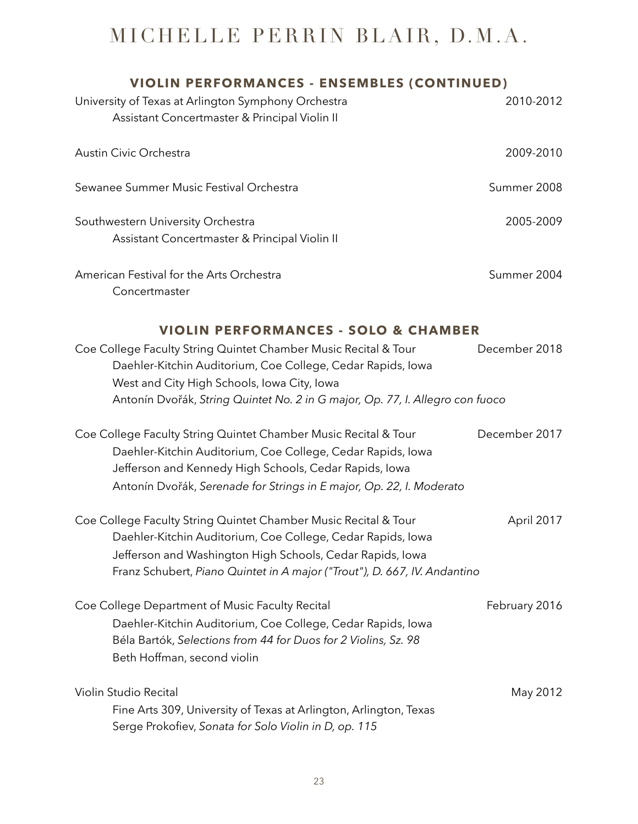| <b>VIOLIN PERFORMANCES - ENSEMBLES (CONTINUED)</b>                                                                                                                                                                                                                                                                |               |
|-------------------------------------------------------------------------------------------------------------------------------------------------------------------------------------------------------------------------------------------------------------------------------------------------------------------|---------------|
| University of Texas at Arlington Symphony Orchestra<br>Assistant Concertmaster & Principal Violin II                                                                                                                                                                                                              | 2010-2012     |
| Austin Civic Orchestra                                                                                                                                                                                                                                                                                            | 2009-2010     |
| Sewanee Summer Music Festival Orchestra                                                                                                                                                                                                                                                                           | Summer 2008   |
| Southwestern University Orchestra<br>Assistant Concertmaster & Principal Violin II                                                                                                                                                                                                                                | 2005-2009     |
| American Festival for the Arts Orchestra<br>Concertmaster                                                                                                                                                                                                                                                         | Summer 2004   |
| <b>VIOLIN PERFORMANCES - SOLO &amp; CHAMBER</b><br>Coe College Faculty String Quintet Chamber Music Recital & Tour<br>Daehler-Kitchin Auditorium, Coe College, Cedar Rapids, Iowa<br>West and City High Schools, Iowa City, Iowa<br>Antonín Dvořák, String Quintet No. 2 in G major, Op. 77, I. Allegro con fuoco | December 2018 |
| Coe College Faculty String Quintet Chamber Music Recital & Tour<br>Daehler-Kitchin Auditorium, Coe College, Cedar Rapids, Iowa<br>Jefferson and Kennedy High Schools, Cedar Rapids, Iowa<br>Antonín Dvořák, Serenade for Strings in E major, Op. 22, I. Moderato                                                  | December 2017 |
| Coe College Faculty String Quintet Chamber Music Recital & Tour<br>Daehler-Kitchin Auditorium, Coe College, Cedar Rapids, Iowa<br>Jefferson and Washington High Schools, Cedar Rapids, Iowa<br>Franz Schubert, Piano Quintet in A major ("Trout"), D. 667, IV. Andantino                                          | April 2017    |
| Coe College Department of Music Faculty Recital<br>Daehler-Kitchin Auditorium, Coe College, Cedar Rapids, Iowa<br>Béla Bartók, Selections from 44 for Duos for 2 Violins, Sz. 98<br>Beth Hoffman, second violin                                                                                                   | February 2016 |
| Violin Studio Recital<br>Fine Arts 309, University of Texas at Arlington, Arlington, Texas<br>Serge Prokofiev, Sonata for Solo Violin in D, op. 115                                                                                                                                                               | May 2012      |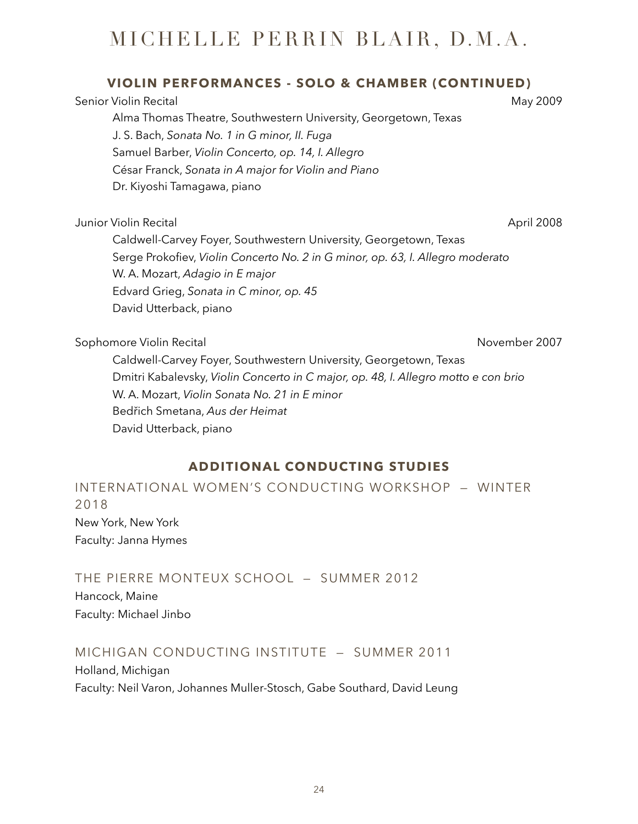### **VIOLIN PERFORMANCES - SOLO & CHAMBER (CONTINUED)**

Senior Violin Recital May 2009 Alma Thomas Theatre, Southwestern University, Georgetown, Texas J. S. Bach, *Sonata No. 1 in G minor, II. Fuga* Samuel Barber, *Violin Concerto, op. 14, I. Allegro* César Franck, *Sonata in A major for Violin and Piano* Dr. Kiyoshi Tamagawa, piano

Junior Violin Recital **April 2008** 

Caldwell-Carvey Foyer, Southwestern University, Georgetown, Texas Serge Prokofiev, *Violin Concerto No. 2 in G minor, op. 63, I. Allegro moderato* W. A. Mozart, *Adagio in E major* Edvard Grieg, *Sonata in C minor, op. 45* David Utterback, piano

Sophomore Violin Recital November 2007

Caldwell-Carvey Foyer, Southwestern University, Georgetown, Texas Dmitri Kabalevsky, *Violin Concerto in C major, op. 48, I. Allegro motto e con brio* W. A. Mozart, *Violin Sonata No. 21 in E minor* Bedřich Smetana, *Aus der Heimat* David Utterback, piano

### **ADDITIONAL CONDUCTING STUDIES**

INTERNATIONAL WOMEN'S CONDUCTING WORKSHOP — WINTER 2018 New York, New York Faculty: Janna Hymes

THE PIERRE MONTEUX SCHOOL — SUMMER 2012

Hancock, Maine Faculty: Michael Jinbo

### MICHIGAN CONDUCTING INSTITUTE — SUMMER 2011

Holland, Michigan Faculty: Neil Varon, Johannes Muller-Stosch, Gabe Southard, David Leung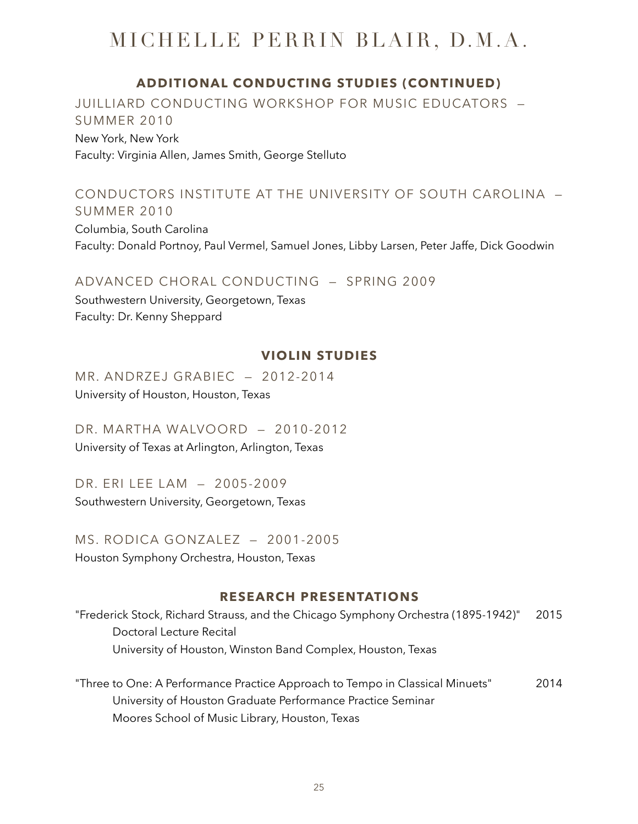### **ADDITIONAL CONDUCTING STUDIES (CONTINUED)**

JUILLIARD CONDUCTING WORKSHOP FOR MUSIC EDUCATORS — SUMMER 2010 New York, New York Faculty: Virginia Allen, James Smith, George Stelluto

#### CONDUCTORS INSTITUTE AT THE UNIVERSITY OF SOUTH CAROLINA — SUMMER 2010

Columbia, South Carolina Faculty: Donald Portnoy, Paul Vermel, Samuel Jones, Libby Larsen, Peter Jaffe, Dick Goodwin

#### ADVANCED CHORAL CONDUCTING — SPRING 2009

Southwestern University, Georgetown, Texas Faculty: Dr. Kenny Sheppard

#### **VIOLIN STUDIES**

MR. ANDRZEJ GRABIEC — 2012-2014 University of Houston, Houston, Texas

DR. MARTHA WALVOORD — 2010-2012 University of Texas at Arlington, Arlington, Texas

DR. ERI LEE LAM — 2005-2009 Southwestern University, Georgetown, Texas

MS. RODICA GONZALEZ — 2001-2005 Houston Symphony Orchestra, Houston, Texas

#### **RESEARCH PRESENTATIONS**

"Frederick Stock, Richard Strauss, and the Chicago Symphony Orchestra (1895-1942)" 2015 Doctoral Lecture Recital University of Houston, Winston Band Complex, Houston, Texas

"Three to One: A Performance Practice Approach to Tempo in Classical Minuets" 2014 University of Houston Graduate Performance Practice Seminar Moores School of Music Library, Houston, Texas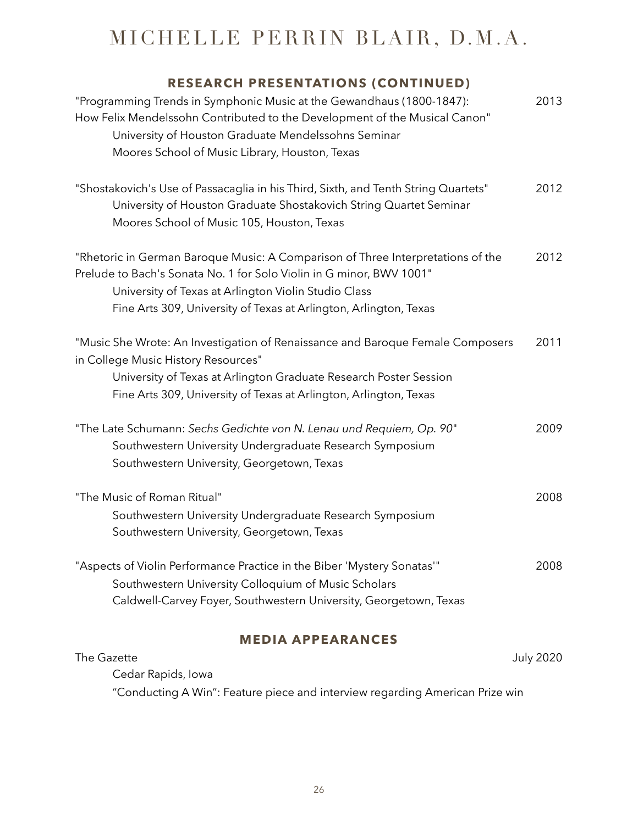### **RESEARCH PRESENTATIONS (CONTINUED)**

| "Programming Trends in Symphonic Music at the Gewandhaus (1800-1847):<br>How Felix Mendelssohn Contributed to the Development of the Musical Canon"<br>University of Houston Graduate Mendelssohns Seminar<br>Moores School of Music Library, Houston, Texas                         | 2013 |
|--------------------------------------------------------------------------------------------------------------------------------------------------------------------------------------------------------------------------------------------------------------------------------------|------|
| "Shostakovich's Use of Passacaglia in his Third, Sixth, and Tenth String Quartets"<br>University of Houston Graduate Shostakovich String Quartet Seminar<br>Moores School of Music 105, Houston, Texas                                                                               | 2012 |
| "Rhetoric in German Baroque Music: A Comparison of Three Interpretations of the<br>Prelude to Bach's Sonata No. 1 for Solo Violin in G minor, BWV 1001"<br>University of Texas at Arlington Violin Studio Class<br>Fine Arts 309, University of Texas at Arlington, Arlington, Texas | 2012 |
| "Music She Wrote: An Investigation of Renaissance and Baroque Female Composers<br>in College Music History Resources"<br>University of Texas at Arlington Graduate Research Poster Session<br>Fine Arts 309, University of Texas at Arlington, Arlington, Texas                      | 2011 |
| "The Late Schumann: Sechs Gedichte von N. Lenau und Requiem, Op. 90"<br>Southwestern University Undergraduate Research Symposium<br>Southwestern University, Georgetown, Texas                                                                                                       | 2009 |
| "The Music of Roman Ritual"<br>Southwestern University Undergraduate Research Symposium<br>Southwestern University, Georgetown, Texas                                                                                                                                                | 2008 |
| "Aspects of Violin Performance Practice in the Biber 'Mystery Sonatas'"<br>Southwestern University Colloquium of Music Scholars<br>Caldwell-Carvey Foyer, Southwestern University, Georgetown, Texas                                                                                 | 2008 |

### **MEDIA APPEARANCES**

| The Gazette                                                                  | July 2020 |
|------------------------------------------------------------------------------|-----------|
| Cedar Rapids, Iowa                                                           |           |
| "Conducting A Win": Feature piece and interview regarding American Prize win |           |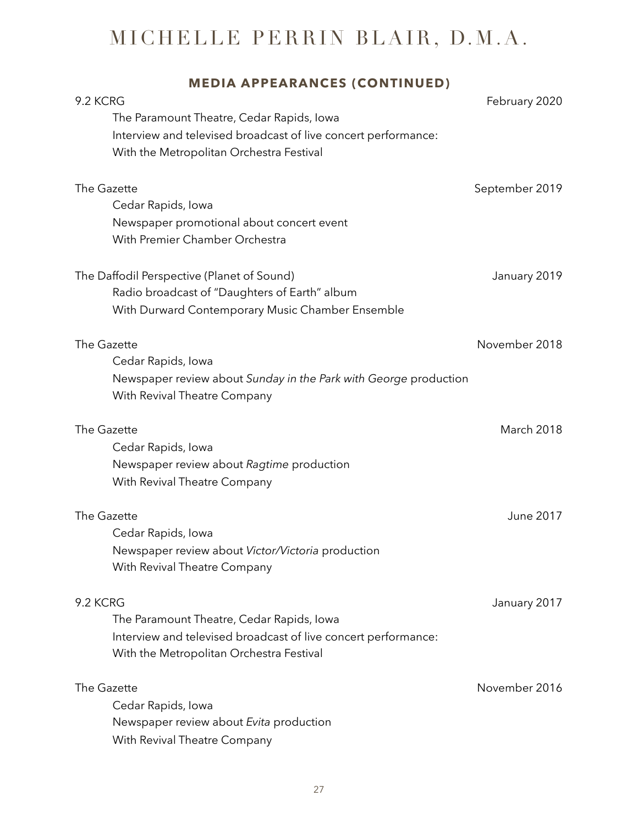| <b>MEDIA APPEARANCES (CONTINUED)</b>                             |                  |
|------------------------------------------------------------------|------------------|
| 9.2 KCRG                                                         | February 2020    |
| The Paramount Theatre, Cedar Rapids, Iowa                        |                  |
| Interview and televised broadcast of live concert performance:   |                  |
| With the Metropolitan Orchestra Festival                         |                  |
| The Gazette                                                      | September 2019   |
| Cedar Rapids, Iowa                                               |                  |
| Newspaper promotional about concert event                        |                  |
| With Premier Chamber Orchestra                                   |                  |
| The Daffodil Perspective (Planet of Sound)                       | January 2019     |
| Radio broadcast of "Daughters of Earth" album                    |                  |
| With Durward Contemporary Music Chamber Ensemble                 |                  |
| The Gazette                                                      | November 2018    |
| Cedar Rapids, Iowa                                               |                  |
| Newspaper review about Sunday in the Park with George production |                  |
| With Revival Theatre Company                                     |                  |
| The Gazette                                                      | March 2018       |
| Cedar Rapids, Iowa                                               |                  |
| Newspaper review about Ragtime production                        |                  |
| With Revival Theatre Company                                     |                  |
| The Gazette                                                      | <b>June 2017</b> |
| Cedar Rapids, Iowa                                               |                  |
| Newspaper review about Victor/Victoria production                |                  |
| With Revival Theatre Company                                     |                  |
| 9.2 KCRG                                                         | January 2017     |
| The Paramount Theatre, Cedar Rapids, Iowa                        |                  |
| Interview and televised broadcast of live concert performance:   |                  |
| With the Metropolitan Orchestra Festival                         |                  |
| The Gazette                                                      | November 2016    |
| Cedar Rapids, Iowa                                               |                  |
| Newspaper review about Evita production                          |                  |
| With Revival Theatre Company                                     |                  |